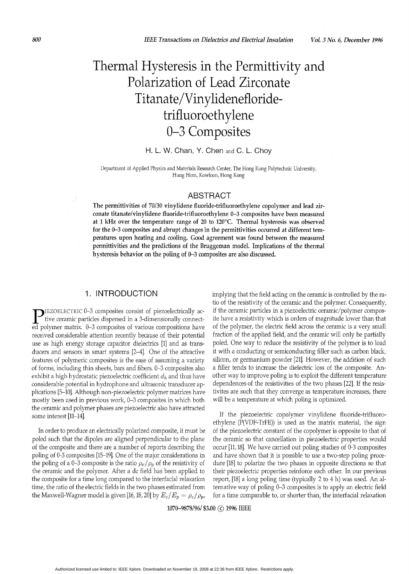# Thermal Hysteresis in the Permittivity and Polarization of Lead Zirconate Titanate/Vinylidenefloridetrifluoroethylene 0-3 Composites

#### H. L. W. Chan, **Y.** Chen and *C.* L. Choy

Department of Applied Physics and Materials Research Center, The Hong Kong Polytechnic University, Hung Hom, Kowloon, Hong Kong

#### ABSTRACT

The permittivities of 70/30 vinylidene fluoride-trifluoroethylene copolymer and lead zirconate titanate/vinylidene fluoride-trifluoroethylene 0-3 composites have been measured at 1 **kHz** over the temperature range of 20 to *120°C.* Thermal hysteresis was observed for the **0-3** composites and abrupt changes in the permittivities occurred at different temperatures upon heating and cooling. Good agreement was found between the measured permittivities and the predictions of the Bruggeman model. Implications of the thermal hysteresis behavior on the poling of 0-3 composites are also discussed.

### 1. INTRODUCTION

TIEZOELECTRIC 0-3 composites consist of piezoelectrically active ceramic particles dispersed in a 3-dimensionally connected polymer matrix. 0-3 composites of various compositions have received considerable attention recently because of their potential use as high energy storage capacitor dielectrics [l] and as transducers and sensors in smart systems [2-41. One of the attractive features of polymeric composites is the ease of assuming a variety of forms, including thin sheets, bars and fibers. 0-3 composites also exhibit a high hydrostatic piezoelectric coefficient *dh* and thus have considerable potential in hydrophone and ultrasonic transducer applications [5-101. Although non-piezoelectric polymer matrices have mostly been used in previous work, *0-3* composites in which both the ceramic and polymer phases are piezoelectric also have attracted some interest [11-141.

In order to produce an electrically polarized composite, it must be poled such that the dipoles are aligned perpendicular to the plane of the composite and there are a number of reports describing the poling of 0-3 composites [15-191. One of the major considerations in the poling of a 0-3 composite is the ratio  $\rho_c/\rho_p$  of the resistivity of the ceramic and the polymer. After a dc field has been applied to the composite for a time long compared to the interfacial relaxation time, the ratio of the electric fields in the two phases estimated from the Maxwell-Wagner model is given [16, 18, 20] by  $E_c/E_p = \rho_c/\rho_p$ , implying that the field acting on the ceramic is controlled by the ratio of the resistivity of the ceramic and the polymer. Consequently, if the ceramic particles in a piezoelectric ceramic/polymer composite have a resistivity which is orders of magnitude lower than that of the polymer, the electric field across the ceramic is a very small fraction of the applied field, and the ceramic will only be partially poled. One way to reduce the resistivity of the polymer is to load it with a conducting or semiconducting filler such as carbon black, silicon, or germanium powder [21]. However, the addition of such a filler tends to increase the dielectric loss of the composite. Another way to improve poling is to exploit the different temperature dependences of the resistivities of the two phases [22]. If the resistivites are such that they converge as temperature increases, there will be a temperature at which poling is optimized.

If the piezoelectric copolymer vinylidene fluoride-trifluoroethylene (P(VDF-TrFE)) is used as the matrix material, the sign of the piezoelectric constant of the copolymer is opposite to that of the ceramic so that cancellation in piezoelectric properties would occur [ll,18]. We have carried out poling studies of 0-3 composites and have shown that it is possible to use a two-step poling procedure [18] to polarize the two phases in opposite directions so that their piezoelectric properties reinforce each other. In our previous report, [18] a long poling time (typically 2 to 4 h) was used. An alternative way of poling 0-3 composites is to apply an electric field for a time comparable to, or shorter than, the interfacial relaxation

1070-9878/96/ *\$3.00* @ 1996 IEEE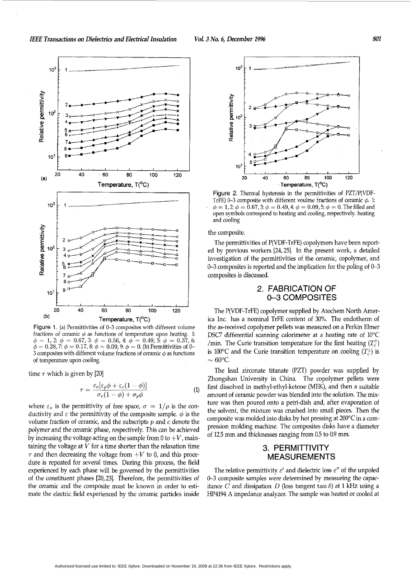

Figure 1. (a) Permittivities of 0-3 composites with different volume fractions of ceramic  $\phi$  as functions of temperature upon heating. 1:<br>  $\phi = 1, 2$ :  $\phi = 0.67, 3$ :  $\phi = 0.56, 4$ :  $\phi = 0.49, 5$ :  $\phi = 0.37, 6$ :<br>  $\phi = 0.28, 7$ :  $\phi = 0.17, 8$ :  $\phi = 0.09, 9$ :  $\phi = 0$ . (b) Permittivities of 3 composites with different volume fractions of ceramic  $\phi$  as functions of temperature upon cooling.

time  $\tau$  which is given by [20]

$$
\tau = \frac{\varepsilon_o[\varepsilon_p \phi + \varepsilon_c (1 - \phi)]}{\sigma_c (1 - \phi) + \sigma_p \phi} \tag{1}
$$

where  $\varepsilon_o$  is the permittivity of free space,  $\sigma = 1/\rho$  is the conductivity and  $\varepsilon$  the permittivity of the composite sample.  $\phi$  is the volume fraction of ceramic, and the subscripts *p* and *c* denote the polymer and the ceramic phase, respectively. This can be achieved by increasing the voltage acting on the sample from  $0$  to  $+V$ , maintaining the voltage at  $V$  for a time shorter than the relaxation time  $\tau$  and then decreasing the voltage from  $+V$  to 0, and this procedure is repeated for several times. During this process, the field experienced by each phase will be governed by the permittivities of the constituent phases [20,23]. Therefore, the permittivities of the ceramic and the composite must be known in order to estimate the electric field experienced by the ceramic particles inside



Figure 2. Thermal hysteresis in the permittivities of PZT/P(VDF-TrFE) 0-3 composite with different voulme fractions of ceramic  $\phi$ . 1:  $\phi = 1,2~\phi = 0.67,3~\phi = 0.49,4~\phi = 0.09,5~\phi = 0.7$  he filled and open symbols correspond to heating and cooling, respectively. heating and cooling

#### the composite.

The permittivities of P(VDF-TrFE) copolymers have been reported by previous workers [24,25]. In the present work, a detailed investigation of the permittivities of the ceramic, copolymer, and 0-3 composites is reported and the implication for the poling of 0-3 composites is discussed.

### 2. FABRICATION Of **0-3** COMPOSITES

The P(VDF-TrFE) copolymer supplied by Atochem North America Inc. has a nominal TrFE content of 30%. The endotherm of the as-received copolymer pellets was measured on a Perkin Elmer DSC7 differential scanning calorimeter at a heating rate of 10°C /min. The Curie transition temperature for the first heating  $(T_c^{\uparrow})$ is 100 $\degree$ C and the Curie transition temperature on cooling  $(T_c^{\downarrow})$  is  $\sim 60^{\circ}$ C.

The lead zirconate titanate (PZT) powder was supplied by Zhongshan University in China. The copolymer pellets were first dissolved in methyl-ethyl-ketone (MEK), and then a suitable amount of ceramic powder was blended into the solution. The mixture was then poured onto a petri-dish and, after evaporation of the solvent, the mixture was crushed into small pieces. Then the composite was molded into disks by hot pressing at 200°C in a compression molding machine. The composites disks have a diameter of 12.5 mm and thicknesses ranging from 0.5 to 0.9 mm.

### 3. PERMITTIVITY MEASUREMENTS

The relative permittivity  $\varepsilon'$  and dielectric loss  $\varepsilon''$  of the unpoled 0-3 composite samples were determined by measuring the capacitance *C* and dissipation *D* (loss tangent tan  $\delta$ ) at 1 kHz using a HP4194 **A** impedance analyzer. The sample was heated or cooled at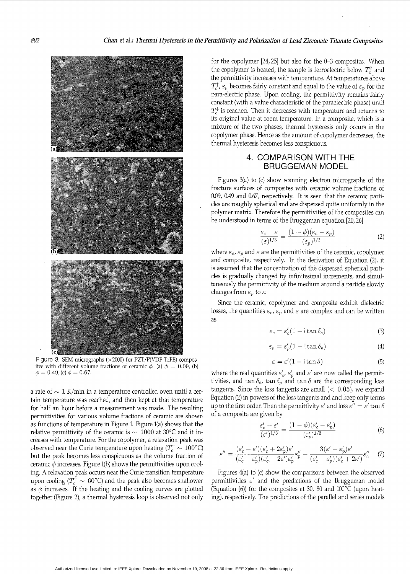

Figure 3. SEM micrographs ( $\times$ 2000) for PZT/P(VDF-TrFE) composites with different volume fractions of ceramic  $\phi$ . (a)  $\phi = 0.09$ , (b)  $\phi = 0.49$ , (c)  $\phi = 0.67$ .

a rate of  $\sim 1$  K/min in a temperature controlled oven until a certain temperature was reached, and then kept at that temperature for half an hour before a measurement was made. The resulting permittivities for various volume fractions of ceramic are shown as functions of temperature in Figure 1. Figure 1(a) shows that the relative permittivity of the ceramic is  $\sim 1000$  at 30°C and it increases with temperature. For the copolymer, a relaxation peak was observed near the Curie temperature upon heating  $(T_c^{\uparrow} \sim 100^{\circ} \text{C})$ but the peak becomes less conspicuous as the volume fraction of ceramic  $\phi$  increases. Figure 1(b) shows the permittivities upon cooling. A relaxation peak occurs near the Curie transition temperature upon cooling  $(T_c^{\uparrow} \sim 60^{\circ}C)$  and the peak also becomes shallower as  $\phi$  increases. If the heating and the cooling curves are plotted together (Figure 2), a thermal hysteresis loop is observed not only

for the copolymer [24,25] but also for the 0-3 composites. When the copolymer is heated, the sample is ferroelectric below  $T_c^{\dagger}$  and the permittivity increases with temperature. At temperatures above  $T_c^{\uparrow}$ ,  $\varepsilon_p$  becomes fairly constant and equal to the value of  $\varepsilon_p$  for the para-electric phase. Upon cooling, the permittivity remains fairly constant (with a value characteristic of the paraelectric phase) until  $T_c^{\downarrow}$  is reached. Then it decreases with temperature and returns to its original value at room temperature. In a composite, which is a mixture of the two phases, thermal hysteresis only occurs in the copolymer phase. Hence as the amount of copolymer decreases, the thermal hysteresis becomes less conspicuous.

### 4. COMPARISON WITH THE BRUGGEMAN MODEL

Figures 3(a) to (c) show scanning electron micrographs of the fracture surfaces of composites with ceramic volume fractions of 0.09, 0.49 and 0.67, respectively. It is seen that the ceramic particles are roughly spherical and are dispersed quite uniformly in the polymer matrix. Therefore the permittivities of the composites can be understood in terms of the Bruggeman equation [20,26]

$$
\frac{\varepsilon_c - \varepsilon}{(\varepsilon)^{1/3}} = \frac{(1 - \phi)(\varepsilon_c - \varepsilon_p)}{(\varepsilon_p)^{1/3}}\tag{2}
$$

where  $\varepsilon_c$ ,  $\varepsilon_p$  and  $\varepsilon$  are the permittivities of the ceramic, copolymer and composite, respectively. In the derivation of Equation (Z), it is assumed that the concentration of the dispersed spherical particles is gradually changed by infinitesimal increments, and simultaneously the permittivity of the medium around a particle slowly changes from  $\varepsilon_p$  to  $\varepsilon$ .

Since the ceramic, copolymer and composite exhibit dielectric losses, the quantities  $\varepsilon_c$ ,  $\varepsilon_p$  and  $\varepsilon$  are complex and can be written as

$$
\varepsilon_c = \varepsilon_c' (1 - i \tan \delta_c) \tag{3}
$$

$$
\varepsilon_p = \varepsilon_p'(1 - i \tan \delta_p) \tag{4}
$$

$$
\varepsilon = \varepsilon'(1 - i \tan \delta) \tag{5}
$$

where the real quantities  $\varepsilon'_{c}$ ,  $\varepsilon'_{p}$  and  $\varepsilon'$  are now called the permittivities, and  $\tan \delta_c$ ,  $\tan \delta_p$  and  $\tan \delta$  are the corresponding loss tangents. Since the loss tangents are small  $(< 0.05)$ , we expand Equation (2) in powers of the loss tangents and and keep only terms up to the first order. Then the permittivity  $\varepsilon'$  and loss  $\varepsilon'' = \varepsilon' \tan \delta$ of a composite are given by

$$
\frac{\varepsilon_c' - \varepsilon'}{(\varepsilon')^{1/3}} = \frac{(1 - \phi)(\varepsilon_c' - \varepsilon_p')}{(\varepsilon_p')^{1/3}}\tag{6}
$$

$$
\varepsilon'' = \frac{(\varepsilon_c' - \varepsilon')( \varepsilon_c' + 2\varepsilon_p') \varepsilon'}{(\varepsilon_c' - \varepsilon_p') (\varepsilon_c' + 2\varepsilon') \varepsilon_p'} \varepsilon_p'' + \frac{3(\varepsilon' - \varepsilon_p') \varepsilon'}{(\varepsilon_c' - \varepsilon_p') (\varepsilon_c' + 2\varepsilon')} \varepsilon_c'' \quad (7)
$$

Figures 4(a) to (c) show the comparisons between the observed permittivities  $\varepsilon'$  and the predictions of the Bruggeman model (Equation (6)) for the composites at 30, 80 and 100°C (upon heating), respectively. The predictions of the parallel and series models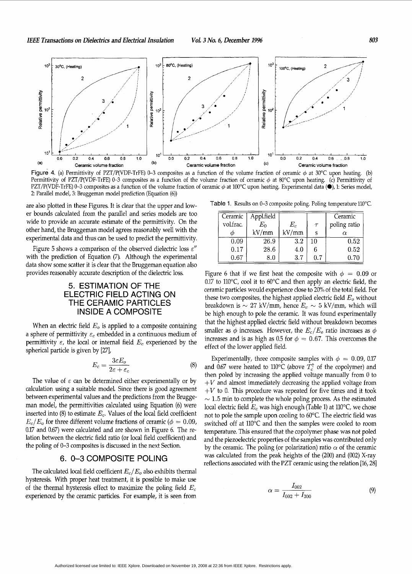

Figure 4. (a) Permittivity of PZT/P(VDF-TrFE) 0-3 composites as a function of the volume fraction of ceramic  $\phi$  at 30°C upon heating. (b) Permittivity of PZT/P(VDF-TrFE) 0-3 composites as a function of the volume fraction of ceramic  $\phi$  at 80°C upon heating. (c) Permittivity of PZT/P(VDF-TrFE) 0-3 composites as a function of the volume fraction of ceramic  $\phi$  at 100°C upon heating. Experimental data (<sup>o</sup>), 1: Series model, 2: Parallel model, 3: Bruggeman model prediction (Equation (6))

are also plotted in these Figures. It is clear that the upper and lower bounds calculated from the parallel and series models are too wide to provide an accurate estimate of the permittivity. On the other hand, the Bruggeman model agrees reasonably well with the experimental data and thus can be used to predict the permittivity.

[Figure 5](#page-4-0) shows a comparison of the observed dielectric loss  $\varepsilon$ " with the prediction of Equation (7). Although the experimental data show some scatter it is clear that the Bruggeman equation also provides reasonably accurate description of the dielectric loss.

## 5. ESTIMATION OF THE ELECTRIC FIELD ACTING ON THE CERAMIC PARTICLES INSIDE A COMPOSITE

When an electric field *E,* is applied to a composite containing a sphere of permittivity  $\varepsilon_c$  embedded in a continuous medium of permittivity  $\varepsilon$ , the local or internal field  $E_c$  experienced by the spherical particle is given by [27], **DE A COMPOSI**<br> *E<sub>o</sub>* is applied to a comp<sub>c</sub> embedded in a contin<br>
or internal field *E<sub>c</sub>* exp<br>
by [27],<br>  $E_c = \frac{3\varepsilon E_o}{2\varepsilon + \varepsilon_c}$ <br>
determined either expe

$$
E_c = \frac{3\varepsilon E_o}{2\varepsilon + \varepsilon_c} \tag{8}
$$

The value of  $\varepsilon$  can be determined either experimentally or by calculation using a suitable model. Since there is good agreement between experimental values and the predictions from the Bruggeman model, the permittivities calculated using Equation (6) were inserted into (8) to estimate *E,.* Values of the local field coefficient  $E_c/E_o$  for three different volume fractions of ceramic ( $\phi = 0.09$ , 0.17 and 0.67) were calculated and are shown in [Figure 6.](#page-4-0) The relation between the electric field ratio (or local field coefficient) and the poling of 0-3 composites is discussed in the next Section.

# 6. 0-3 COMPOSITE POLING

The calculated local field coefficient *E,/ E,* also exhibits thermal hysteresis. With proper heat treatment, it is possible to make use of the thermal hysteresis effect to maximize the poling field *E,*  experienced by the ceramic particles. For example, it is seen from

Table 1. Results on 0-3 composite poling. Poling temperature 110°C.

| Ceramic   | Appl.field |       |        | Ceramic      |
|-----------|------------|-------|--------|--------------|
| vol.frac. | $E_0$      | $E_c$ | $\tau$ | poling ratio |
|           | kV/mm      | kV/mm | S      |              |
| 0.09      | 26.9       | 3.2   | 10     | 0.52         |
| 0.17      | 28.6       | 4.0   | 6      | 0.52         |
| $_{0.67}$ | 8.0        | 3.7   | 0.7    | 0.70         |

Figure 6 that if we first heat the composite with  $\phi = 0.09$  or  $0.17$  to  $110^{\circ}$ C, cool it to  $60^{\circ}$ C and then apply an electric field, the ceramic particles would experience close to 20% of the total field. For these two composites, the highest applied electric field  $E<sub>o</sub>$  without breakdown is  $\sim 27$  kV/mm, hence  $E_c \sim 5$  kV/mm, which will be high enough to pole the ceramic. It was found experimentally that the highest applied electric field without breakdown becomes smaller as  $\phi$  increases. However, the  $E_c/E_o$  ratio increases as  $\phi$ increases and is as high as 0.5 for  $\phi = 0.67$ . This overcomes the effect of the lower applied field.

Experimentally, three composite samples with  $\phi = 0.09, 0.17$ and 0.67 were heated to 110°C (above  $T_c^{\dagger}$  of the copolymer) and then poled by increasing the applied voltage manually from 0 to  $+V$  and almost immediately decreasing the applied voltage from  $+V$  to 0. This procedure was repeated for five times and it took  $\sim$  1.5 min to complete the whole poling process. As the estimated local electric field  $E_c$  was high enough (Table 1) at 110 $\rm ^{\circ}$ C, we chose not to pole the sample upon cooling to 60°C. The electric field was switched off at 110°C and then the samples were cooled to room temperature. This ensured that the copolymer phase was not poled and the piezoelectric properties of the samples was contributed only by the ceramic. The poling (or polarization) ratio  $\alpha$  of the ceramic was calculated from the peak heights of the (200) and (002) X-ray reflections associated with the PZT ceramic using the relation [16, 28]

$$
\alpha = \frac{I_{002}}{I_{002} + I_{200}}\tag{9}
$$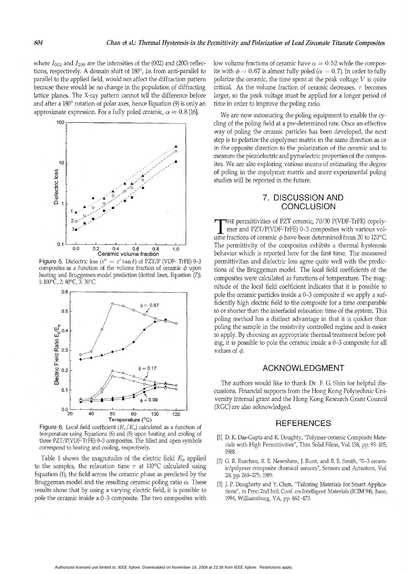<span id="page-4-0"></span>where  $I_{002}$  and  $I_{200}$  are the intensities of the (002) and (200) reflections, respectively. A domain shift of 180°, i.e. from anti-parallel to parallel to the applied field, would not affect the diffraction pattern because there would be no change in the population of diffracting lattice planes. The X-ray pattern cannot tell the difference before and after a 180° rotation of polar axes, hence Equation (9) is only an approximate expression. For a fully poled ceramic,  $\alpha \approx 0.8$  [16].



**Figure 5.** Dielectric loss ( $\varepsilon'' = \varepsilon' \tan \delta$ ) of PZT/P (VDF-TrFE) 0-3 composites as a function of the volume fraction of ceramic  $\phi$  upon heating and Bruggemen model prediction (dotted lines, Equation (7)). 1:  $100^{\circ}C$ , 2:  $80^{\circ}C$ , 3:  $30^{\circ}C$ .



Figure 6. Local field coefficient  $(E_c/E_o)$  calculated as a function of temperature using Equations (6) and (8) upon heating and cooling of three PZT/P(VDF-TrFE) 0-3 composites. The filled and open symbols correspond to heating and cooling, respectively.

Table 1 shows the magnitudes of the electric field  $E<sub>o</sub>$  applied to the samples, the relaxation time  $\tau$  at 110°C calculated using Equation (1), the field across the ceramic phase as predicted by the Bruggeman model and the resulting ceramic poling ratio  $\alpha$ . These results show that by using a varying electric field, it is possible to pole the ceramic inside a 0-3 composite. The two composites with low volume fractions of ceramic have  $\alpha = 0.52$  while the composite with  $\phi = 0.67$  is almost fully poled ( $\alpha = 0.7$ ). In order to fully polarize the ceramic, the time spent at the peak voltage  $V$  is quite critical. As the volume fraction of ceramic decreases,  $\tau$  becomes larger, so the peak voltage must be applied for a longer period of time in order to improve the poling ratio.

We are now automating the poling equipment to enable the cycling of the poling field at a pre-determined rate. Once an effective way of poling the ceramic particles has been developed, the next step is to polarize the copolymer matrix in the same direction as or in the opposite direction to the polarization of the ceramic and to measure the piezoelectric and pyroelectric properties of the composites. We are also exploring various means of estimating the degree of poling in the copolymer matrix and more experimental poling studies will be reported in the future.

### 7. DISCUSSION AND **CONCLUSION**

THE permittivities of PZT ceramic, 70/30 P(VDF-TrFE) copolymer and PZT/P(VDF-TrFE) 0-3 composites with various volume fractions of ceramic  $\phi$  have been determined from 20 to 120 °C. The permittivity of the composites exhibits a thermal hysteresis behavior which is reported here for the first time. The measured permittivities and dielectric loss agree quite well with the predictions of the Bruggeman model. The local field coefficients of the composites were calculated as functions of temperature. The magnitude of the local field coefficient indicates that it is possible to pole the ceramic particles inside a 0-3 composite if we apply a sufficiently high electric field to the composite for a time comparable to or shorter than the interfacial relaxation time of the system. This poling method has a distinct advantage in that it is quicker than poling the sample in the resistivity controlled regime and is easier to apply. By choosing an appropriate thermal treatment before poling, it is possible to pole the ceramic inside a 0-3 composite for all values of  $\phi$ .

### **ACKNOWLEDGMENT**

The authors would like to thank Dr. F. G. Shin for helpful discussions. Financial supports from the Hong Kong Polytechnic University internal grant and the Hong Kong Research Grant Council (RGC) are also acknowledged.

#### **REFERENCES**

- [1] D. K. Das-Gupta and K. Doughty, "Polymer-ceramic Composite Materials with High Permittivities", Thin Solid Films, Vol. 158, pp. 93-105, 1988
- [2] G. R. Ruschau, R. E. Newnham, J. Runt, and B. E. Smith, "0-3 ceramic/polymer composite chemical sensors", Sensors and Actuators, Vol. 20, pp. 269-275, 1989.
- [3] J. P. Dougherty and Y. Chen, "Tailoring Materials for Smart Applications", in Proc. 2nd Intl. Conf. on Intelligent Materials (ICIM 94), June, 1994, Williamsburg, VA, pp. 462-473.